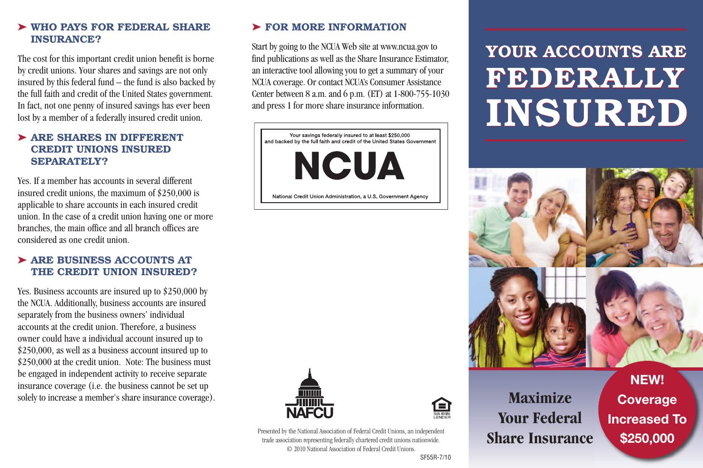# ➤ **WHO PAYS FOR FEDERAL SHARE INSURANCE?**

The cost for this important credit union benefit is borne by credit unions. Your shares and savings are not only insured by this federal fund – the fund is also backed by the full faith and credit of the United States government. In fact, not one penny of insured savings has ever been lost by a member of a federally insured credit union.

# ➤ **ARE SHARES IN DIFFERENT CREDIT UNIONS INSURED SEPARATELY?**

Yes. If a member has accounts in several different insured credit unions, the maximum of \$250,000 is applicable to share accounts in each insured credit union. In the case of a credit union having one or more branches, the main office and all branch offices are considered as one credit union.

# ➤ **ARE BUSINESS ACCOUNTS AT THE CREDIT UNION INSURED?**

Yes. Business accounts are insured up to \$250,000 by the NCUA. Additionally, business accounts are insured separately from the business owners' individual accounts at the credit union. Therefore, a business owner could have a individual account insured up to \$250,000, as well as a business account insured up to \$250,000 at the credit union. Note: The business must be engaged in independent activity to receive separate insurance coverage (i.e. the business cannot be set up solely to increase a member's share insurance coverage).

# ➤ **FOR MORE INFORMATION**

Start bygoing to the NCUA Web site at www.ncua.gov to find publications as well as the Share Insurance Estimator, an interactive tool allowing you to get a summary of your NCUA coverage. Or contact NCUA's Consumer Assistance Center between 8 a.m. and 6 p.m. (ET) at 1-800-755-1030 and press 1 for more share insurance information.

Your savings federally insured to at least \$250,000 and backed by the full faith and credit of the United States Government

**NCUA** 

National Credit Union Administration, a U.S. Government Agency



#### Presented by the National Association of Federal Credit Unions, an independent trade association representing federally chartered credit unions nationwide. © 2010 National Association of Federal Credit Unions.

# **YOUR ACCOUNTS ARE YOUR ACCOUNTS ARE<br>FEDERALLY INSURED**





**NEW! Coverage Increased To \$250,000**

#### SF55R-7/10